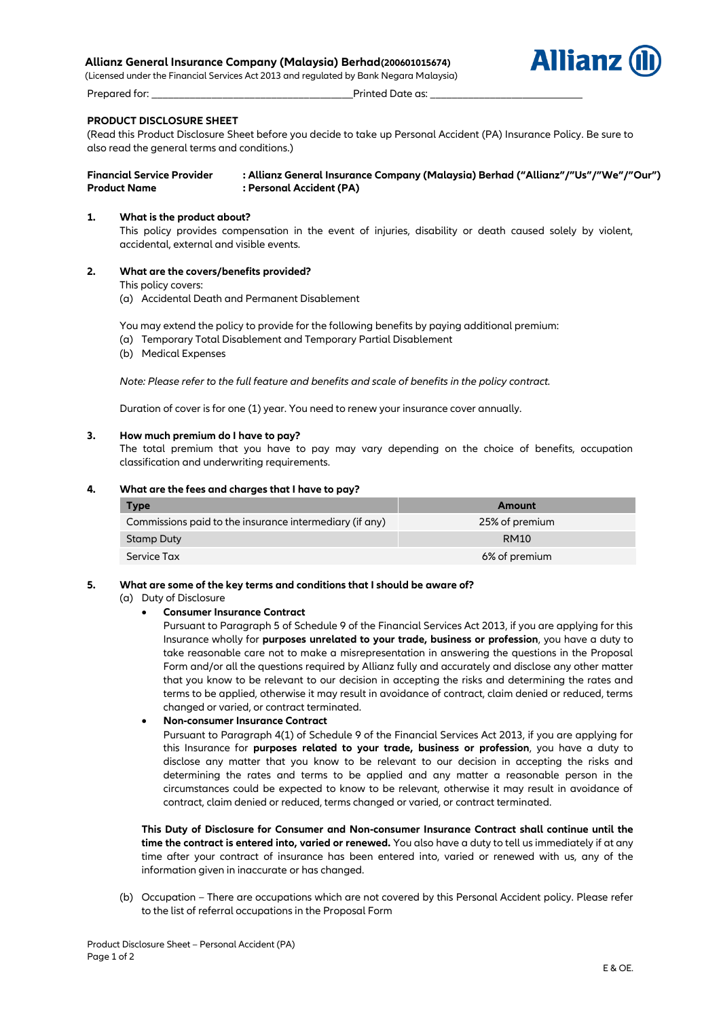# **Allianz General Insurance Company (Malaysia) Berhad(200601015674)**

(Licensed under the Financial Services Act 2013 and regulated by Bank Negara Malaysia) Prepared for: \_\_\_\_\_\_\_\_\_\_\_\_\_\_\_\_\_\_\_\_\_\_\_\_\_\_\_\_\_\_\_\_\_\_\_\_\_Printed Date as: \_\_\_\_\_\_\_\_\_\_\_\_\_\_\_\_\_\_\_\_\_\_\_\_\_\_\_\_



# **PRODUCT DISCLOSURE SHEET**

(Read this Product Disclosure Sheet before you decide to take up Personal Accident (PA) Insurance Policy. Be sure to also read the general terms and conditions.)

# **Financial Service Provider : Allianz General Insurance Company (Malaysia) Berhad ("Allianz"/"Us"/"We"/"Our")** Product Name : Personal Accident (PA)

# **1. What is the product about?**

This policy provides compensation in the event of injuries, disability or death caused solely by violent, accidental, external and visible events.

**2. What are the covers/benefits provided?**

This policy covers:

(a) Accidental Death and Permanent Disablement

You may extend the policy to provide for the following benefits by paying additional premium:

- (a) Temporary Total Disablement and Temporary Partial Disablement
- (b) Medical Expenses

*Note: Please refer to the full feature and benefits and scale of benefits in the policy contract.*

Duration of cover is for one (1) year. You need to renew your insurance cover annually.

# **3. How much premium do I have to pay?**

The total premium that you have to pay may vary depending on the choice of benefits, occupation classification and underwriting requirements.

# **4. What are the fees and charges that I have to pay?**

| <b>Type</b>                                             | Amount         |
|---------------------------------------------------------|----------------|
| Commissions paid to the insurance intermediary (if any) | 25% of premium |
| Stamp Duty                                              | <b>RM10</b>    |
| Service Tax                                             | 6% of premium  |

# **5. What are some of the key terms and conditions that I should be aware of?**

(a) Duty of Disclosure

# **Consumer Insurance Contract**

Pursuant to Paragraph 5 of Schedule 9 of the Financial Services Act 2013, if you are applying for this Insurance wholly for **purposes unrelated to your trade, business or profession**, you have a duty to take reasonable care not to make a misrepresentation in answering the questions in the Proposal Form and/or all the questions required by Allianz fully and accurately and disclose any other matter that you know to be relevant to our decision in accepting the risks and determining the rates and terms to be applied, otherwise it may result in avoidance of contract, claim denied or reduced, terms changed or varied, or contract terminated.

# **Non-consumer Insurance Contract**

Pursuant to Paragraph 4(1) of Schedule 9 of the Financial Services Act 2013, if you are applying for this Insurance for **purposes related to your trade, business or profession**, you have a duty to disclose any matter that you know to be relevant to our decision in accepting the risks and determining the rates and terms to be applied and any matter a reasonable person in the circumstances could be expected to know to be relevant, otherwise it may result in avoidance of contract, claim denied or reduced, terms changed or varied, or contract terminated.

**This Duty of Disclosure for Consumer and Non-consumer Insurance Contract shall continue until the time the contract is entered into, varied or renewed.** You also have a duty to tell us immediately if at any time after your contract of insurance has been entered into, varied or renewed with us, any of the information given in inaccurate or has changed.

(b) Occupation – There are occupations which are not covered by this Personal Accident policy. Please refer to the list of referral occupations in the Proposal Form